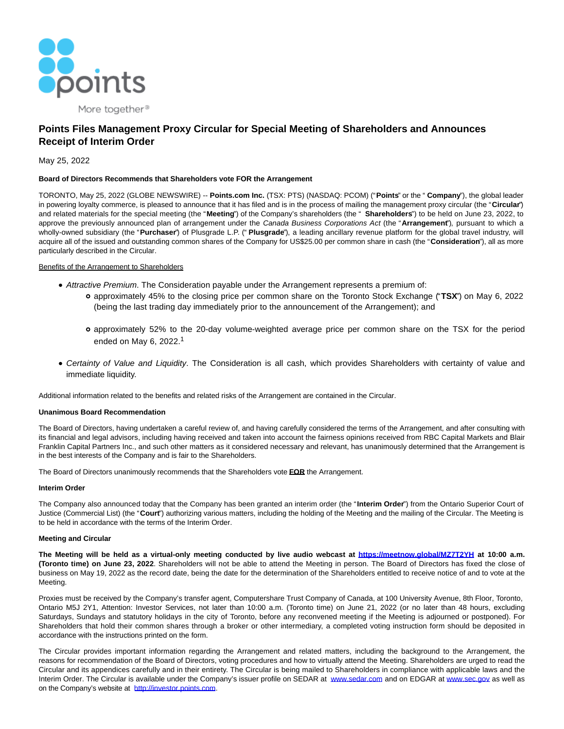

# **Points Files Management Proxy Circular for Special Meeting of Shareholders and Announces Receipt of Interim Order**

# May 25, 2022

## **Board of Directors Recommends that Shareholders vote FOR the Arrangement**

TORONTO, May 25, 2022 (GLOBE NEWSWIRE) -- **Points.com Inc.** (TSX: PTS) (NASDAQ: PCOM) ("**Points**" or the " **Company**"), the global leader in powering loyalty commerce, is pleased to announce that it has filed and is in the process of mailing the management proxy circular (the "**Circular**") and related materials for the special meeting (the "**Meeting**") of the Company's shareholders (the " **Shareholders**") to be held on June 23, 2022, to approve the previously announced plan of arrangement under the Canada Business Corporations Act (the "**Arrangement**"), pursuant to which a wholly-owned subsidiary (the "**Purchaser**") of Plusgrade L.P. (" **Plusgrade**"), a leading ancillary revenue platform for the global travel industry, will acquire all of the issued and outstanding common shares of the Company for US\$25.00 per common share in cash (the "**Consideration**"), all as more particularly described in the Circular.

## Benefits of the Arrangement to Shareholders

- Attractive Premium. The Consideration payable under the Arrangement represents a premium of:
	- approximately 45% to the closing price per common share on the Toronto Stock Exchange ("**TSX**") on May 6, 2022 (being the last trading day immediately prior to the announcement of the Arrangement); and
	- approximately 52% to the 20-day volume-weighted average price per common share on the TSX for the period ended on May 6, 2022.<sup>1</sup>
- Certainty of Value and Liquidity. The Consideration is all cash, which provides Shareholders with certainty of value and immediate liquidity.

Additional information related to the benefits and related risks of the Arrangement are contained in the Circular.

## **Unanimous Board Recommendation**

The Board of Directors, having undertaken a careful review of, and having carefully considered the terms of the Arrangement, and after consulting with its financial and legal advisors, including having received and taken into account the fairness opinions received from RBC Capital Markets and Blair Franklin Capital Partners Inc., and such other matters as it considered necessary and relevant, has unanimously determined that the Arrangement is in the best interests of the Company and is fair to the Shareholders.

The Board of Directors unanimously recommends that the Shareholders vote **FOR** the Arrangement.

## **Interim Order**

The Company also announced today that the Company has been granted an interim order (the "**Interim Order**") from the Ontario Superior Court of Justice (Commercial List) (the "**Court**") authorizing various matters, including the holding of the Meeting and the mailing of the Circular. The Meeting is to be held in accordance with the terms of the Interim Order.

## **Meeting and Circular**

**The Meeting will be held as a virtual-only meeting conducted by live audio webcast at [https://meetnow.global/MZ7T2YH](https://www.globenewswire.com/Tracker?data=uDISKLhHpgj-GeuAC8aW1AM4YmmUgkdNDmV1RBlYOX76SR7A0s0X2VVZSsiNo_gLcOJO57AK7mMsFLkTZQsWs9qhyKxBMUyFaHKYLN6hydPzsDIZWU_MYvEQDuCet80p) at 10:00 a.m. (Toronto time) on June 23, 2022**. Shareholders will not be able to attend the Meeting in person. The Board of Directors has fixed the close of business on May 19, 2022 as the record date, being the date for the determination of the Shareholders entitled to receive notice of and to vote at the Meeting.

Proxies must be received by the Company's transfer agent, Computershare Trust Company of Canada, at 100 University Avenue, 8th Floor, Toronto, Ontario M5J 2Y1, Attention: Investor Services, not later than 10:00 a.m. (Toronto time) on June 21, 2022 (or no later than 48 hours, excluding Saturdays, Sundays and statutory holidays in the city of Toronto, before any reconvened meeting if the Meeting is adjourned or postponed). For Shareholders that hold their common shares through a broker or other intermediary, a completed voting instruction form should be deposited in accordance with the instructions printed on the form.

The Circular provides important information regarding the Arrangement and related matters, including the background to the Arrangement, the reasons for recommendation of the Board of Directors, voting procedures and how to virtually attend the Meeting. Shareholders are urged to read the Circular and its appendices carefully and in their entirety. The Circular is being mailed to Shareholders in compliance with applicable laws and the Interim Order. The Circular is available under the Company's issuer profile on SEDAR at [www.sedar.com a](https://www.globenewswire.com/Tracker?data=j0EKoXpcQzqesMi7EoTq3nx-7Jbkry9FUnqiK8562YTwDF0tc_c-c3lUXe_cwoaW2pJmwE0mwUzwQFvjTzEnQA==)nd on EDGAR at [www.sec.gov a](https://www.globenewswire.com/Tracker?data=j0EKoXpcQzqesMi7EoTq3q3SjLv0NiB6QevtaJNflUguYFicjQQu5Q6j-u1N2nCFMou8G7P0qv9iZwz6iHmb3g==)s well as on the Company's website at [http://investor.points.com.](https://www.globenewswire.com/Tracker?data=cnmG69uRlW6TEvmjaVzjoVA2KaSy_MnNzEfb_PTYWx46kJCrrk9Z20Psf8I-s7670xnmyxj5Bc_4MGDdTBPDKk-bNB4untDcp3o7DZxknEc=)